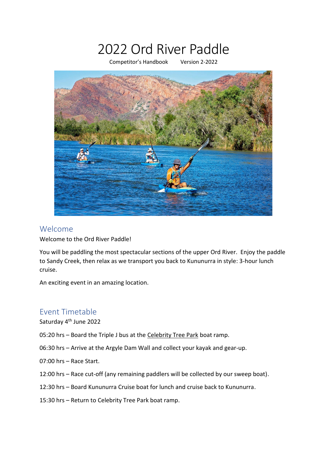# 2022 Ord River Paddle

Competitor's Handbook Version 2-2022



#### Welcome

Welcome to the Ord River Paddle!

You will be paddling the most spectacular sections of the upper Ord River. Enjoy the paddle to Sandy Creek, then relax as we transport you back to Kununurra in style: 3-hour lunch cruise.

An exciting event in an amazing location.

## Event Timetable

Saturday 4<sup>th</sup> June 2022

- 05:20 hrs Board the Triple J bus at the Celebrity Tree Park boat ramp.
- 06:30 hrs Arrive at the Argyle Dam Wall and collect your kayak and gear-up.
- 07:00 hrs Race Start.
- 12:00 hrs Race cut-off (any remaining paddlers will be collected by our sweep boat).
- 12:30 hrs Board Kununurra Cruise boat for lunch and cruise back to Kununurra.
- 15:30 hrs Return to Celebrity Tree Park boat ramp.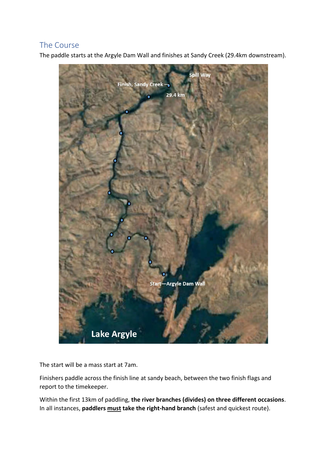## The Course

The paddle starts at the Argyle Dam Wall and finishes at Sandy Creek (29.4km downstream).



The start will be a mass start at 7am.

Finishers paddle across the finish line at sandy beach, between the two finish flags and report to the timekeeper.

Within the first 13km of paddling, **the river branches (divides) on three different occasions**. In all instances, **paddlers must take the right-hand branch** (safest and quickest route).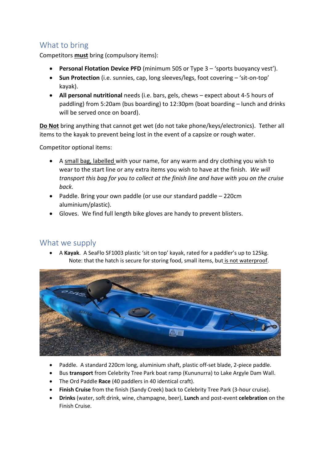## What to bring

Competitors **must** bring (compulsory items):

- **Personal Flotation Device PFD** (minimum 50S or Type 3 'sports buoyancy vest').
- **Sun Protection** (i.e. sunnies, cap, long sleeves/legs, foot covering 'sit-on-top' kayak).
- **All personal nutritional** needs (i.e. bars, gels, chews expect about 4-5 hours of paddling) from 5:20am (bus boarding) to 12:30pm (boat boarding – lunch and drinks will be served once on board).

**Do Not** bring anything that cannot get wet (do not take phone/keys/electronics). Tether all items to the kayak to prevent being lost in the event of a capsize or rough water.

Competitor optional items:

- A small bag, labelled with your name, for any warm and dry clothing you wish to wear to the start line or any extra items you wish to have at the finish. *We will transport this bag for you to collect at the finish line and have with you on the cruise back.*
- Paddle. Bring your own paddle (or use our standard paddle 220cm aluminium/plastic).
- Gloves. We find full length bike gloves are handy to prevent blisters.

#### What we supply

• A **Kayak**. A SeaFlo SF1003 plastic 'sit on top' kayak, rated for a paddler's up to 125kg. Note: that the hatch is secure for storing food, small items, but is not waterproof.



- Paddle. A standard 220cm long, aluminium shaft, plastic off-set blade, 2-piece paddle.
- Bus **transport** from Celebrity Tree Park boat ramp (Kununurra) to Lake Argyle Dam Wall.
- The Ord Paddle **Race** (40 paddlers in 40 identical craft).
- **Finish Cruise** from the finish (Sandy Creek) back to Celebrity Tree Park (3-hour cruise).
- **Drinks** (water, soft drink, wine, champagne, beer), **Lunch** and post-event **celebration** on the Finish Cruise.